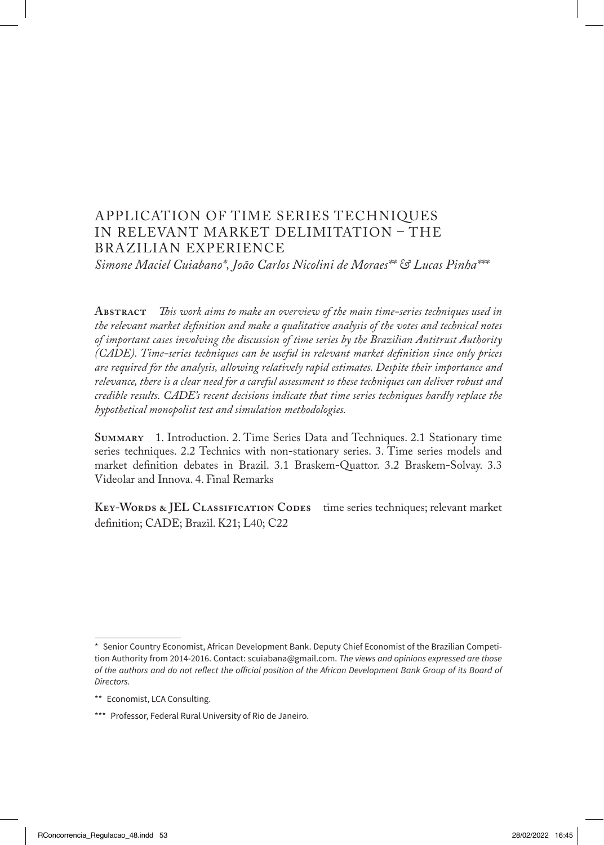# APPLICATION OF TIME SERIES TECHNIQUES IN RELEVANT MARKET DELIMITATION – THE BRAZILIAN EXPERIENCE

*Simone Maciel Cuiabano\*, João Carlos Nicolini de Moraes\*\* & Lucas Pinha\*\*\**

**Abstract** *This work aims to make an overview of the main time-series techniques used in the relevant market definition and make a qualitative analysis of the votes and technical notes of important cases involving the discussion of time series by the Brazilian Antitrust Authority (CADE). Time-series techniques can be useful in relevant market definition since only prices are required for the analysis, allowing relatively rapid estimates. Despite their importance and relevance, there is a clear need for a careful assessment so these techniques can deliver robust and credible results. CADE's recent decisions indicate that time series techniques hardly replace the hypothetical monopolist test and simulation methodologies.*

**Summary** 1. Introduction. 2. Time Series Data and Techniques. 2.1 Stationary time series techniques. 2.2 Technics with non-stationary series. 3. Time series models and market definition debates in Brazil. 3.1 Braskem-Quattor. 3.2 Braskem-Solvay. 3.3 Videolar and Innova. 4. Final Remarks

**Key-Words & JEL Classification Codes** time series techniques; relevant market definition; CADE; Brazil. K21; L40; C22 *123*

<sup>\*</sup> Senior Country Economist, African Development Bank. Deputy Chief Economist of the Brazilian Competition Authority from 2014-2016. Contact: scuiabana@gmail.com. *The views and opinions expressed are those*  of the authors and do not reflect the official position of the African Development Bank Group of its Board of Directors.

<sup>\*\*</sup> Economist, LCA Consulting.

<sup>\*\*\*</sup> Professor, Federal Rural University of Rio de Janeiro.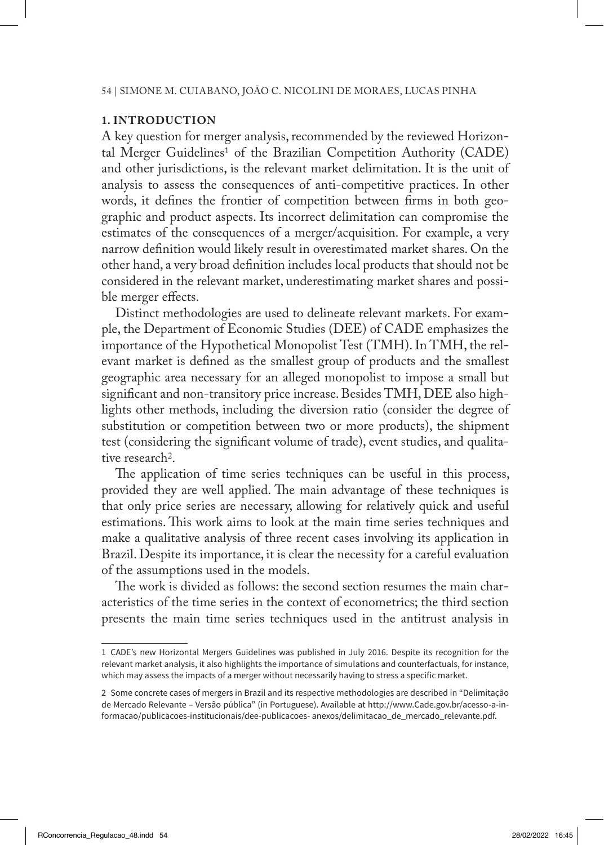### **1. INTRODUCTION**

A key question for merger analysis, recommended by the reviewed Horizontal Merger Guidelines<sup>1</sup> of the Brazilian Competition Authority (CADE) and other jurisdictions, is the relevant market delimitation. It is the unit of analysis to assess the consequences of anti-competitive practices. In other words, it defines the frontier of competition between firms in both geographic and product aspects. Its incorrect delimitation can compromise the estimates of the consequences of a merger/acquisition. For example, a very narrow definition would likely result in overestimated market shares. On the other hand, a very broad definition includes local products that should not be considered in the relevant market, underestimating market shares and possible merger effects.

Distinct methodologies are used to delineate relevant markets. For example, the Department of Economic Studies (DEE) of CADE emphasizes the importance of the Hypothetical Monopolist Test (TMH). In TMH, the relevant market is defined as the smallest group of products and the smallest geographic area necessary for an alleged monopolist to impose a small but significant and non-transitory price increase. Besides TMH, DEE also highlights other methods, including the diversion ratio (consider the degree of substitution or competition between two or more products), the shipment test (considering the significant volume of trade), event studies, and qualitative research2.

The application of time series techniques can be useful in this process, provided they are well applied. The main advantage of these techniques is that only price series are necessary, allowing for relatively quick and useful estimations. This work aims to look at the main time series techniques and make a qualitative analysis of three recent cases involving its application in Brazil. Despite its importance, it is clear the necessity for a careful evaluation of the assumptions used in the models.

The work is divided as follows: the second section resumes the main characteristics of the time series in the context of econometrics; the third section presents the main time series techniques used in the antitrust analysis in

<sup>1</sup> CADE's new Horizontal Mergers Guidelines was published in July 2016. Despite its recognition for the relevant market analysis, it also highlights the importance of simulations and counterfactuals, for instance, which may assess the impacts of a merger without necessarily having to stress a specific market.

<sup>2</sup> Some concrete cases of mergers in Brazil and its respective methodologies are described in "Delimitação de Mercado Relevante – Versão pública" (in Portuguese). Available at http://www.Cade.gov.br/acesso-a-informacao/publicacoes-institucionais/dee-publicacoes- anexos/delimitacao\_de\_mercado\_relevante.pdf.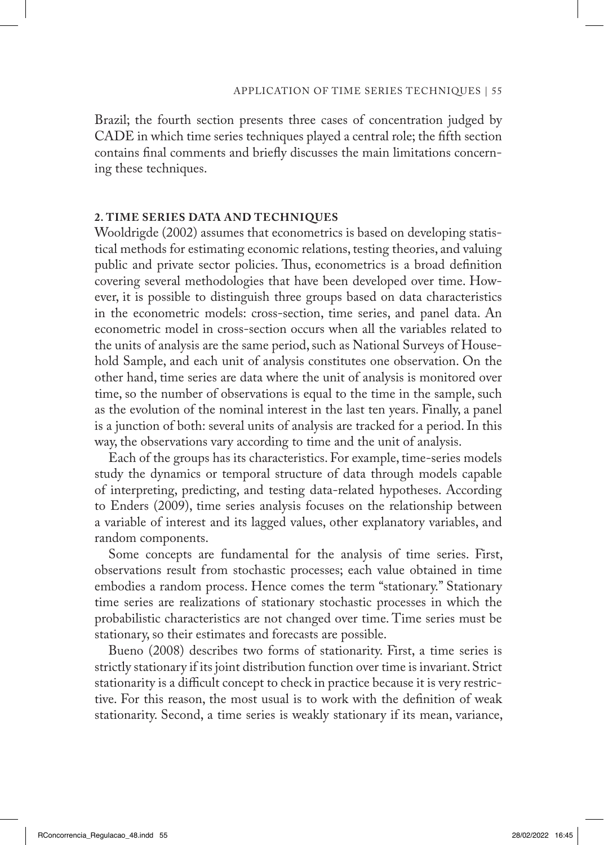Brazil; the fourth section presents three cases of concentration judged by CADE in which time series techniques played a central role; the fifth section contains final comments and briefly discusses the main limitations concerning these techniques.

#### **2. TIME SERIES DATA AND TECHNIQUES**

Wooldrigde (2002) assumes that econometrics is based on developing statistical methods for estimating economic relations, testing theories, and valuing public and private sector policies. Thus, econometrics is a broad definition covering several methodologies that have been developed over time. However, it is possible to distinguish three groups based on data characteristics in the econometric models: cross-section, time series, and panel data. An econometric model in cross-section occurs when all the variables related to the units of analysis are the same period, such as National Surveys of Household Sample, and each unit of analysis constitutes one observation. On the other hand, time series are data where the unit of analysis is monitored over time, so the number of observations is equal to the time in the sample, such as the evolution of the nominal interest in the last ten years. Finally, a panel is a junction of both: several units of analysis are tracked for a period. In this way, the observations vary according to time and the unit of analysis.

Each of the groups has its characteristics. For example, time-series models study the dynamics or temporal structure of data through models capable of interpreting, predicting, and testing data-related hypotheses. According to Enders (2009), time series analysis focuses on the relationship between a variable of interest and its lagged values, other explanatory variables, and random components.

Some concepts are fundamental for the analysis of time series. First, observations result from stochastic processes; each value obtained in time embodies a random process. Hence comes the term "stationary." Stationary time series are realizations of stationary stochastic processes in which the probabilistic characteristics are not changed over time. Time series must be stationary, so their estimates and forecasts are possible.

Bueno (2008) describes two forms of stationarity. First, a time series is strictly stationary if its joint distribution function over time is invariant. Strict stationarity is a difficult concept to check in practice because it is very restrictive. For this reason, the most usual is to work with the definition of weak stationarity. Second, a time series is weakly stationary if its mean, variance,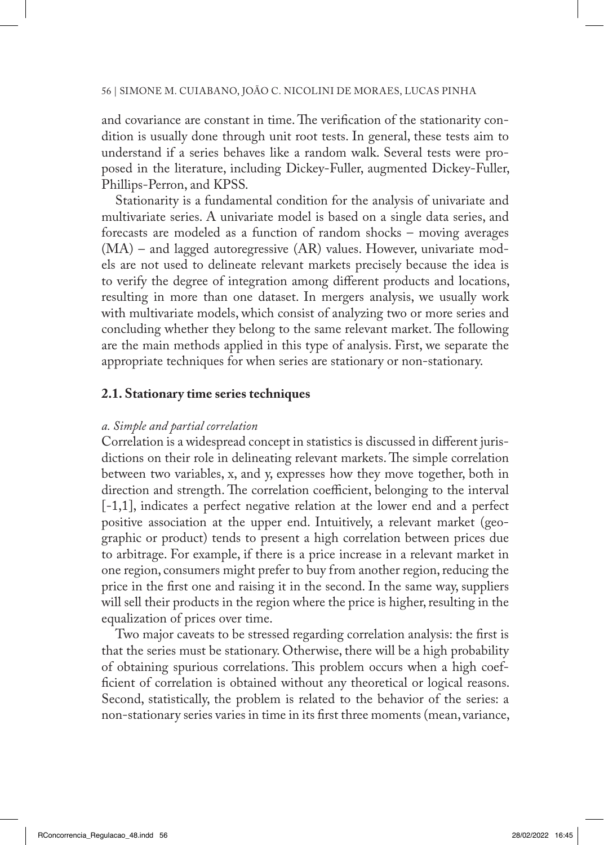and covariance are constant in time. The verification of the stationarity condition is usually done through unit root tests. In general, these tests aim to understand if a series behaves like a random walk. Several tests were proposed in the literature, including Dickey-Fuller, augmented Dickey-Fuller, Phillips-Perron, and KPSS.

Stationarity is a fundamental condition for the analysis of univariate and multivariate series. A univariate model is based on a single data series, and forecasts are modeled as a function of random shocks – moving averages (MA) – and lagged autoregressive (AR) values. However, univariate models are not used to delineate relevant markets precisely because the idea is to verify the degree of integration among different products and locations, resulting in more than one dataset. In mergers analysis, we usually work with multivariate models, which consist of analyzing two or more series and concluding whether they belong to the same relevant market. The following are the main methods applied in this type of analysis. First, we separate the appropriate techniques for when series are stationary or non-stationary.

### **2.1. Stationary time series techniques**

#### *a. Simple and partial correlation*

Correlation is a widespread concept in statistics is discussed in different jurisdictions on their role in delineating relevant markets. The simple correlation between two variables, x, and y, expresses how they move together, both in direction and strength. The correlation coefficient, belonging to the interval [-1,1], indicates a perfect negative relation at the lower end and a perfect positive association at the upper end. Intuitively, a relevant market (geographic or product) tends to present a high correlation between prices due to arbitrage. For example, if there is a price increase in a relevant market in one region, consumers might prefer to buy from another region, reducing the price in the first one and raising it in the second. In the same way, suppliers will sell their products in the region where the price is higher, resulting in the equalization of prices over time.

Two major caveats to be stressed regarding correlation analysis: the first is that the series must be stationary. Otherwise, there will be a high probability of obtaining spurious correlations. This problem occurs when a high coefficient of correlation is obtained without any theoretical or logical reasons. Second, statistically, the problem is related to the behavior of the series: a non-stationary series varies in time in its first three moments (mean, variance,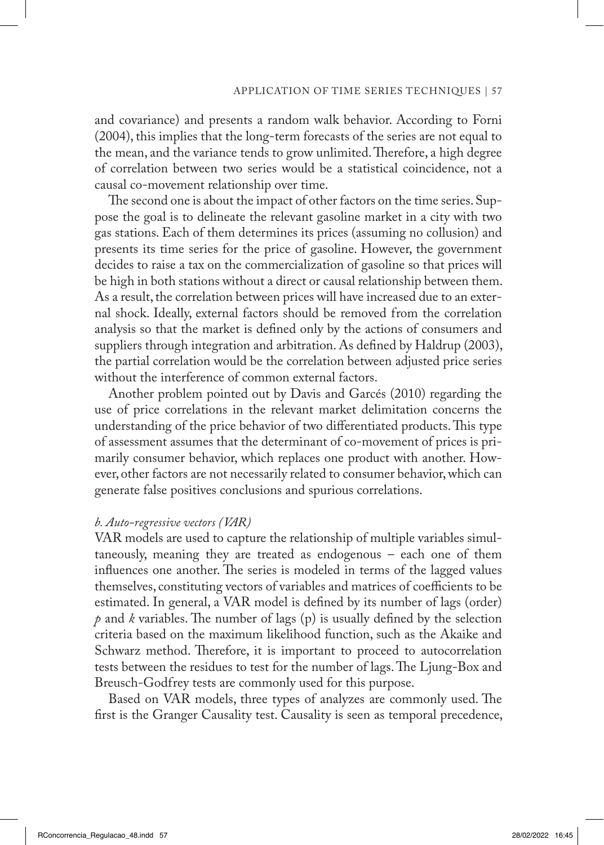and covariance) and presents a random walk behavior. According to Forni (2004), this implies that the long-term forecasts of the series are not equal to the mean, and the variance tends to grow unlimited. Therefore, a high degree of correlation between two series would be a statistical coincidence, not a causal co-movement relationship over time.

The second one is about the impact of other factors on the time series. Suppose the goal is to delineate the relevant gasoline market in a city with two gas stations. Each of them determines its prices (assuming no collusion) and presents its time series for the price of gasoline. However, the government decides to raise a tax on the commercialization of gasoline so that prices will be high in both stations without a direct or causal relationship between them. As a result, the correlation between prices will have increased due to an external shock. Ideally, external factors should be removed from the correlation analysis so that the market is defined only by the actions of consumers and suppliers through integration and arbitration. As defined by Haldrup (2003), the partial correlation would be the correlation between adjusted price series without the interference of common external factors.

Another problem pointed out by Davis and Garcés (2010) regarding the use of price correlations in the relevant market delimitation concerns the understanding of the price behavior of two differentiated products. This type of assessment assumes that the determinant of co-movement of prices is primarily consumer behavior, which replaces one product with another. However, other factors are not necessarily related to consumer behavior, which can generate false positives conclusions and spurious correlations.

#### *b. Auto-regressive vectors (VAR)*

VAR models are used to capture the relationship of multiple variables simultaneously, meaning they are treated as endogenous – each one of them influences one another. The series is modeled in terms of the lagged values themselves, constituting vectors of variables and matrices of coefficients to be estimated. In general, a VAR model is defined by its number of lags (order) *p* and *k* variables. The number of lags (p) is usually defined by the selection criteria based on the maximum likelihood function, such as the Akaike and Schwarz method. Therefore, it is important to proceed to autocorrelation tests between the residues to test for the number of lags. The Ljung-Box and Breusch-Godfrey tests are commonly used for this purpose.

Based on VAR models, three types of analyzes are commonly used. The first is the Granger Causality test. Causality is seen as temporal precedence,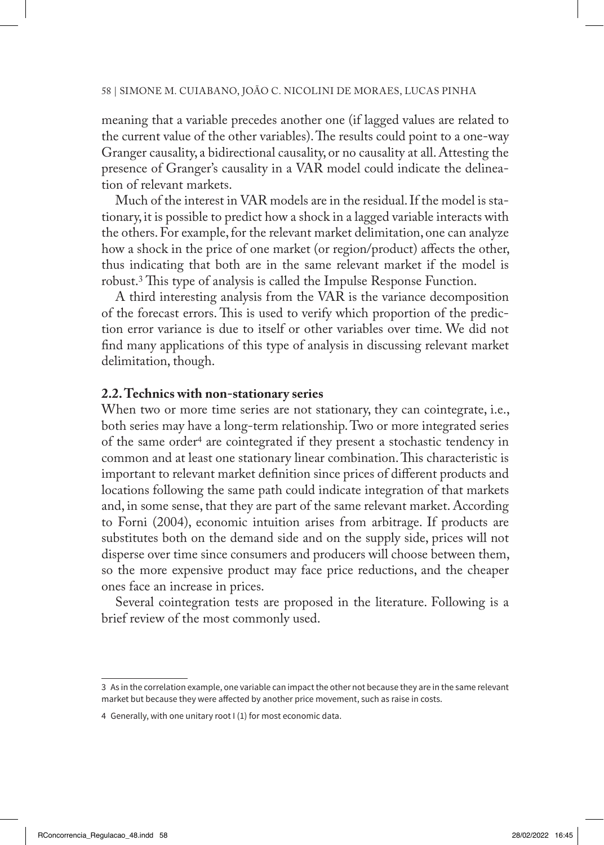meaning that a variable precedes another one (if lagged values are related to the current value of the other variables). The results could point to a one-way Granger causality, a bidirectional causality, or no causality at all. Attesting the presence of Granger's causality in a VAR model could indicate the delineation of relevant markets.

Much of the interest in VAR models are in the residual. If the model is stationary, it is possible to predict how a shock in a lagged variable interacts with the others. For example, for the relevant market delimitation, one can analyze how a shock in the price of one market (or region/product) affects the other, thus indicating that both are in the same relevant market if the model is robust.3 This type of analysis is called the Impulse Response Function.

A third interesting analysis from the VAR is the variance decomposition of the forecast errors. This is used to verify which proportion of the prediction error variance is due to itself or other variables over time. We did not find many applications of this type of analysis in discussing relevant market delimitation, though.

### **2.2. Technics with non-stationary series**

When two or more time series are not stationary, they can cointegrate, i.e., both series may have a long-term relationship. Two or more integrated series of the same order4 are cointegrated if they present a stochastic tendency in common and at least one stationary linear combination. This characteristic is important to relevant market definition since prices of different products and locations following the same path could indicate integration of that markets and, in some sense, that they are part of the same relevant market. According to Forni (2004), economic intuition arises from arbitrage. If products are substitutes both on the demand side and on the supply side, prices will not disperse over time since consumers and producers will choose between them, so the more expensive product may face price reductions, and the cheaper ones face an increase in prices.

Several cointegration tests are proposed in the literature. Following is a brief review of the most commonly used.

<sup>3</sup> As in the correlation example, one variable can impact the other not because they are in the same relevant market but because they were affected by another price movement, such as raise in costs.

<sup>4</sup> Generally, with one unitary root I (1) for most economic data.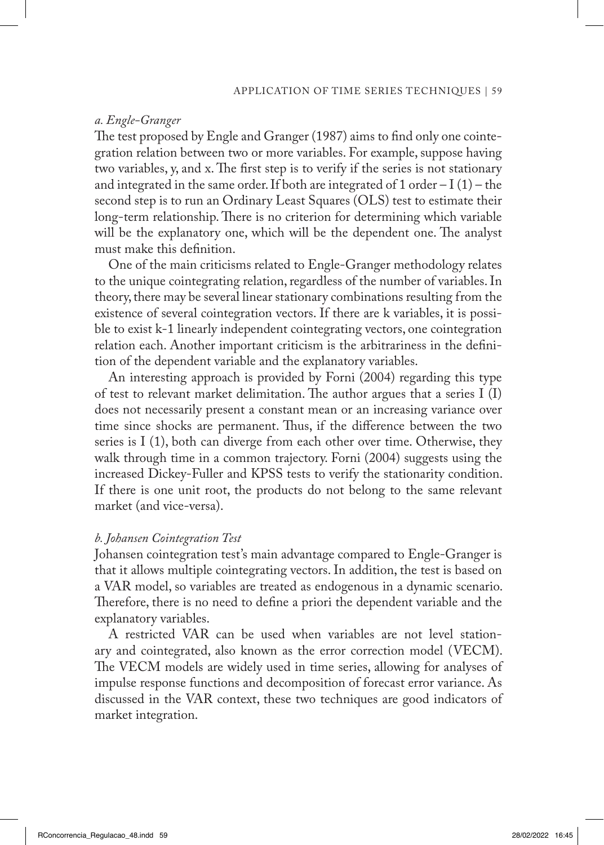#### *a. Engle-Granger*

The test proposed by Engle and Granger (1987) aims to find only one cointegration relation between two or more variables. For example, suppose having two variables, y, and x. The first step is to verify if the series is not stationary and integrated in the same order. If both are integrated of 1 order  $-I(1)$  – the second step is to run an Ordinary Least Squares (OLS) test to estimate their long-term relationship. There is no criterion for determining which variable will be the explanatory one, which will be the dependent one. The analyst must make this definition.

One of the main criticisms related to Engle-Granger methodology relates to the unique cointegrating relation, regardless of the number of variables. In theory, there may be several linear stationary combinations resulting from the existence of several cointegration vectors. If there are k variables, it is possible to exist k-1 linearly independent cointegrating vectors, one cointegration relation each. Another important criticism is the arbitrariness in the definition of the dependent variable and the explanatory variables.

An interesting approach is provided by Forni (2004) regarding this type of test to relevant market delimitation. The author argues that a series I (I) does not necessarily present a constant mean or an increasing variance over time since shocks are permanent. Thus, if the difference between the two series is I (1), both can diverge from each other over time. Otherwise, they walk through time in a common trajectory. Forni (2004) suggests using the increased Dickey-Fuller and KPSS tests to verify the stationarity condition. If there is one unit root, the products do not belong to the same relevant market (and vice-versa).

### *b. Johansen Cointegration Test*

Johansen cointegration test's main advantage compared to Engle-Granger is that it allows multiple cointegrating vectors. In addition, the test is based on a VAR model, so variables are treated as endogenous in a dynamic scenario. Therefore, there is no need to define a priori the dependent variable and the explanatory variables.

A restricted VAR can be used when variables are not level stationary and cointegrated, also known as the error correction model (VECM). The VECM models are widely used in time series, allowing for analyses of impulse response functions and decomposition of forecast error variance. As discussed in the VAR context, these two techniques are good indicators of market integration.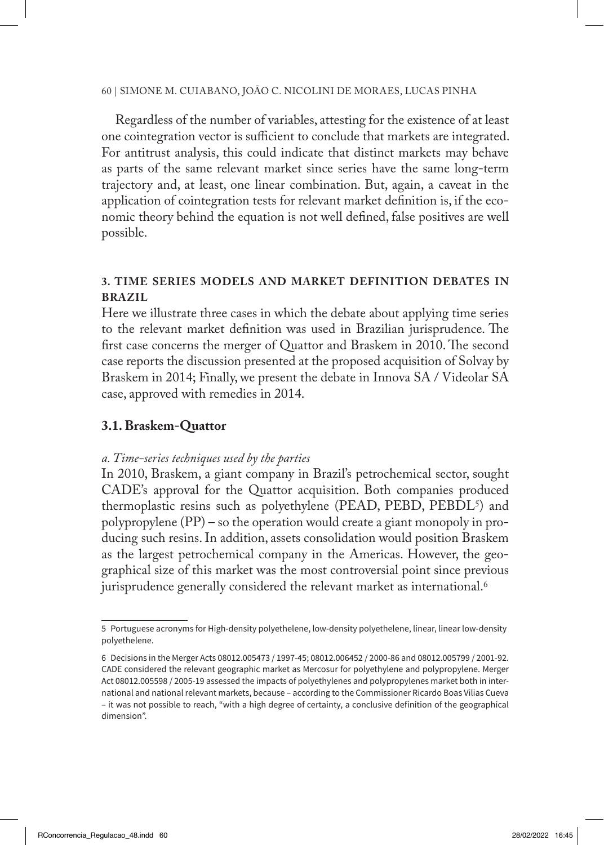Regardless of the number of variables, attesting for the existence of at least one cointegration vector is sufficient to conclude that markets are integrated. For antitrust analysis, this could indicate that distinct markets may behave as parts of the same relevant market since series have the same long-term trajectory and, at least, one linear combination. But, again, a caveat in the application of cointegration tests for relevant market definition is, if the economic theory behind the equation is not well defined, false positives are well possible.

# **3. TIME SERIES MODELS AND MARKET DEFINITION DEBATES IN BRAZIL**

Here we illustrate three cases in which the debate about applying time series to the relevant market definition was used in Brazilian jurisprudence. The first case concerns the merger of Quattor and Braskem in 2010. The second case reports the discussion presented at the proposed acquisition of Solvay by Braskem in 2014; Finally, we present the debate in Innova SA / Videolar SA case, approved with remedies in 2014.

### **3.1. Braskem-Quattor**

### *a. Time-series techniques used by the parties*

In 2010, Braskem, a giant company in Brazil's petrochemical sector, sought CADE's approval for the Quattor acquisition. Both companies produced thermoplastic resins such as polyethylene (PEAD, PEBD, PEBDL<sup>5</sup>) and polypropylene (PP) – so the operation would create a giant monopoly in producing such resins. In addition, assets consolidation would position Braskem as the largest petrochemical company in the Americas. However, the geographical size of this market was the most controversial point since previous jurisprudence generally considered the relevant market as international.<sup>6</sup>

<sup>5</sup> Portuguese acronyms for High-density polyethelene, low-density polyethelene, linear, linear low-density polyethelene.

<sup>6</sup> Decisions in the Merger Acts 08012.005473 / 1997-45; 08012.006452 / 2000-86 and 08012.005799 / 2001-92. CADE considered the relevant geographic market as Mercosur for polyethylene and polypropylene. Merger Act 08012.005598 / 2005-19 assessed the impacts of polyethylenes and polypropylenes market both in international and national relevant markets, because – according to the Commissioner Ricardo Boas Vilias Cueva – it was not possible to reach, "with a high degree of certainty, a conclusive definition of the geographical dimension".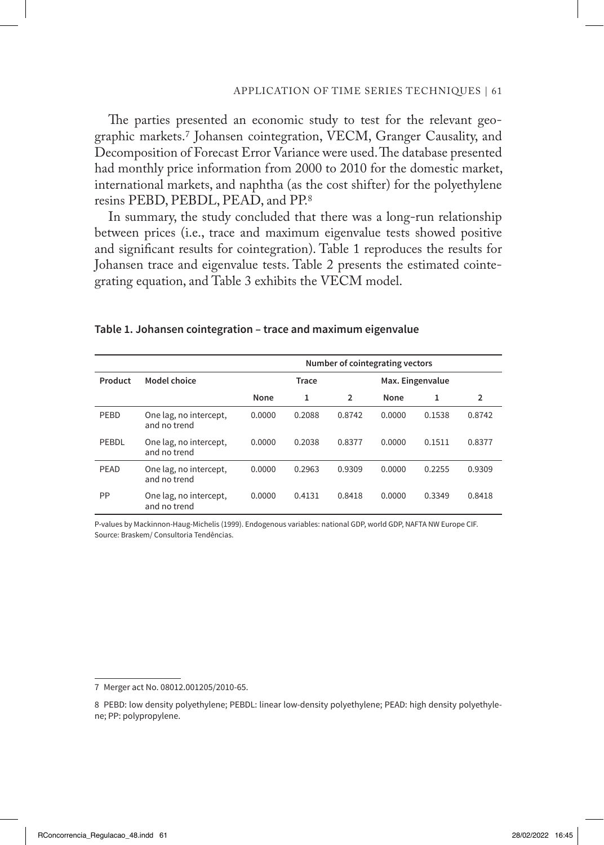The parties presented an economic study to test for the relevant geographic markets.7 Johansen cointegration, VECM, Granger Causality, and Decomposition of Forecast Error Variance were used. The database presented had monthly price information from 2000 to 2010 for the domestic market, international markets, and naphtha (as the cost shifter) for the polyethylene resins PEBD, PEBDL, PEAD, and PP.8

In summary, the study concluded that there was a long-run relationship between prices (i.e., trace and maximum eigenvalue tests showed positive and significant results for cointegration). Table 1 reproduces the results for Johansen trace and eigenvalue tests. Table 2 presents the estimated cointegrating equation, and Table 3 exhibits the VECM model.

|         |                                        | Number of cointegrating vectors |        |                |                  |        |                |
|---------|----------------------------------------|---------------------------------|--------|----------------|------------------|--------|----------------|
| Product | Model choice                           |                                 | Trace  |                | Max. Eingenvalue |        |                |
|         |                                        | None                            | 1      | $\overline{2}$ | None             | 1      | $\overline{2}$ |
| PEBD    | One lag, no intercept,<br>and no trend | 0.0000                          | 0.2088 | 0.8742         | 0.0000           | 0.1538 | 0.8742         |
| PEBDL   | One lag, no intercept,<br>and no trend | 0.0000                          | 0.2038 | 0.8377         | 0.0000           | 0.1511 | 0.8377         |
| PEAD    | One lag, no intercept,<br>and no trend | 0.0000                          | 0.2963 | 0.9309         | 0.0000           | 0.2255 | 0.9309         |
| PP      | One lag, no intercept,<br>and no trend | 0.0000                          | 0.4131 | 0.8418         | 0.0000           | 0.3349 | 0.8418         |

#### **Table 1. Johansen cointegration – trace and maximum eigenvalue**

P-values by Mackinnon-Haug-Michelis (1999). Endogenous variables: national GDP, world GDP, NAFTA NW Europe CIF. Source: Braskem/ Consultoria Tendências.

<sup>7</sup> Merger act No. 08012.001205/2010-65.

<sup>8</sup> PEBD: low density polyethylene; PEBDL: linear low-density polyethylene; PEAD: high density polyethylene; PP: polypropylene.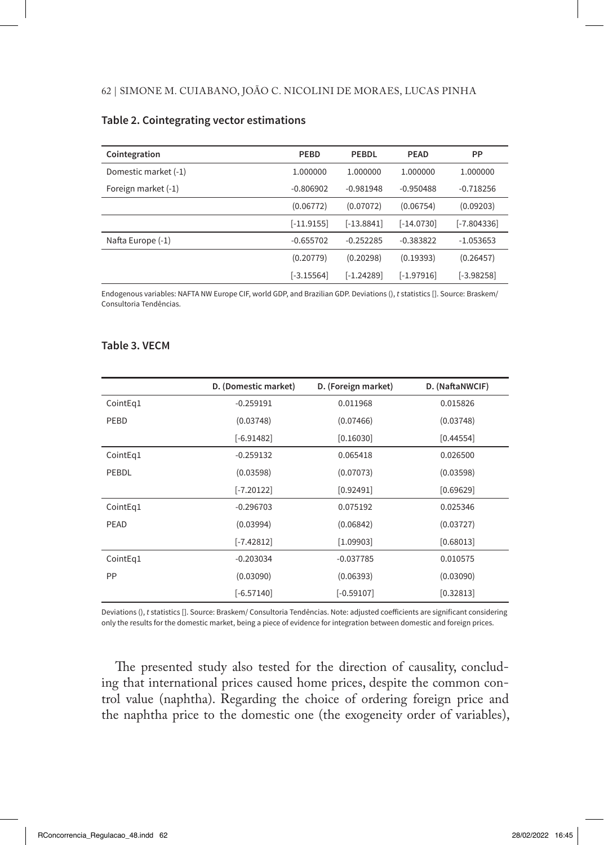| Cointegration        | PEBD         | PEBDL        | <b>PEAD</b>  | PP            |
|----------------------|--------------|--------------|--------------|---------------|
| Domestic market (-1) | 1.000000     | 1.000000     | 1.000000     | 1.000000      |
| Foreign market (-1)  | $-0.806902$  | $-0.981948$  | $-0.950488$  | $-0.718256$   |
|                      | (0.06772)    | (0.07072)    | (0.06754)    | (0.09203)     |
|                      | $[-11.9155]$ | $[-13.8841]$ | $[-14.0730]$ | $[-7.804336]$ |
| Nafta Europe (-1)    | $-0.655702$  | $-0.252285$  | $-0.383822$  | $-1.053653$   |
|                      | (0.20779)    | (0.20298)    | (0.19393)    | (0.26457)     |
|                      | $[-3.15564]$ | $[-1.24289]$ | $[-1.97916]$ | $[-3.98258]$  |

#### **Table 2. Cointegrating vector estimations**

Endogenous variables: NAFTA NW Europe CIF, world GDP, and Brazilian GDP. Deviations (), *t* statistics []. Source: Braskem/ Consultoria Tendências.

#### **Table 3. VECM**

|           | D. (Domestic market) | D. (Foreign market) | D. (NaftaNWCIF) |
|-----------|----------------------|---------------------|-----------------|
| CointEq1  | $-0.259191$          | 0.011968            | 0.015826        |
| PEBD      | (0.03748)            | (0.07466)           | (0.03748)       |
|           | $[-6.91482]$         | [0.16030]           | [0.44554]       |
| CointEq1  | $-0.259132$          | 0.065418            | 0.026500        |
| PEBDL     | (0.03598)            | (0.07073)           | (0.03598)       |
|           | $[-7.20122]$         | [0.92491]           | [0.69629]       |
| CointEg1  | $-0.296703$          | 0.075192            | 0.025346        |
| PEAD      | (0.03994)            | (0.06842)           | (0.03727)       |
|           | $[-7.42812]$         | [1.09903]           | [0.68013]       |
| CointEq1  | $-0.203034$          | $-0.037785$         | 0.010575        |
| <b>PP</b> | (0.03090)            | (0.06393)           | (0.03090)       |
|           | $[-6.57140]$         | $[-0.59107]$        | [0.32813]       |

Deviations (), *t* statistics []. Source: Braskem/ Consultoria Tendências. Note: adjusted coefficients are significant considering only the results for the domestic market, being a piece of evidence for integration between domestic and foreign prices.

The presented study also tested for the direction of causality, concluding that international prices caused home prices, despite the common control value (naphtha). Regarding the choice of ordering foreign price and the naphtha price to the domestic one (the exogeneity order of variables),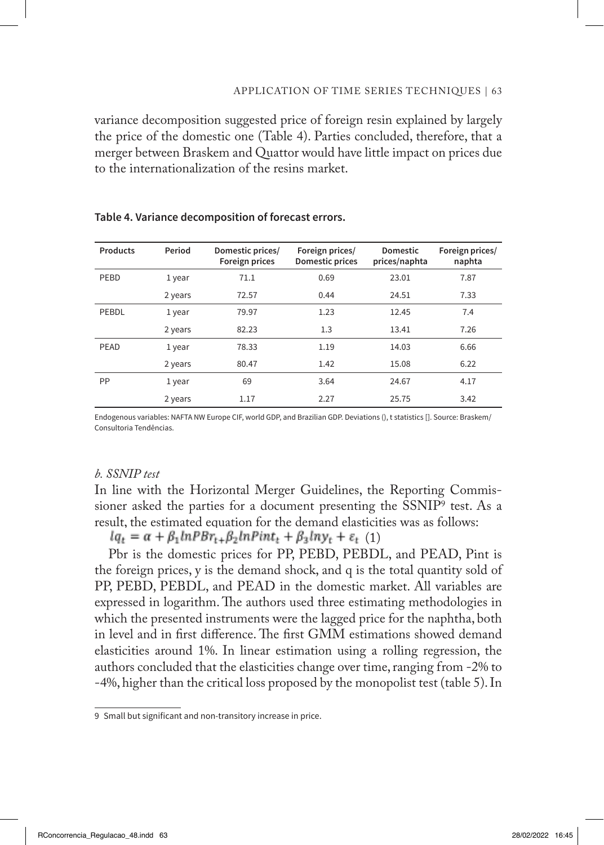variance decomposition suggested price of foreign resin explained by largely the price of the domestic one (Table 4). Parties concluded, therefore, that a merger between Braskem and Quattor would have little impact on prices due to the internationalization of the resins market.

| <b>Products</b> | Period  | Domestic prices/<br>Foreign prices | Foreign prices/<br>Domestic prices | <b>Domestic</b><br>prices/naphta | Foreign prices/<br>naphta |
|-----------------|---------|------------------------------------|------------------------------------|----------------------------------|---------------------------|
| PEBD            | 1 year  | 71.1                               | 0.69                               | 23.01                            | 7.87                      |
|                 | 2 years | 72.57                              | 0.44                               | 24.51                            | 7.33                      |
| PEBDL           | 1 year  | 79.97                              | 1.23                               | 12.45                            | 7.4                       |
|                 | 2 years | 82.23                              | 1.3                                | 13.41                            | 7.26                      |
| PEAD            | 1 year  | 78.33                              | 1.19                               | 14.03                            | 6.66                      |
|                 | 2 years | 80.47                              | 1.42                               | 15.08                            | 6.22                      |
| PP              | 1 year  | 69                                 | 3.64                               | 24.67                            | 4.17                      |
|                 | 2 years | 1.17                               | 2.27                               | 25.75                            | 3.42                      |

#### **Table 4. Variance decomposition of forecast errors.**

Endogenous variables: NAFTA NW Europe CIF, world GDP, and Brazilian GDP. Deviations (), t statistics []. Source: Braskem/ Consultoria Tendências.

### *b. SSNIP test*

In line with the Horizontal Merger Guidelines, the Reporting Commissioner asked the parties for a document presenting the SSNIP9 test. As a result, the estimated equation for the demand elasticities was as follows:

 $lq_t = \alpha + \beta_1 lnPBr_{t+} \beta_2 lnPint_t + \beta_3 lny_t + \varepsilon_t$  (1)

Pbr is the domestic prices for PP, PEBD, PEBDL, and PEAD, Pint is the foreign prices, y is the demand shock, and q is the total quantity sold of PP, PEBD, PEBDL, and PEAD in the domestic market. All variables are expressed in logarithm. The authors used three estimating methodologies in which the presented instruments were the lagged price for the naphtha, both in level and in first difference. The first GMM estimations showed demand elasticities around 1%. In linear estimation using a rolling regression, the authors concluded that the elasticities change over time, ranging from -2% to -4%, higher than the critical loss proposed by the monopolist test (table 5). In

<sup>9</sup> Small but significant and non-transitory increase in price.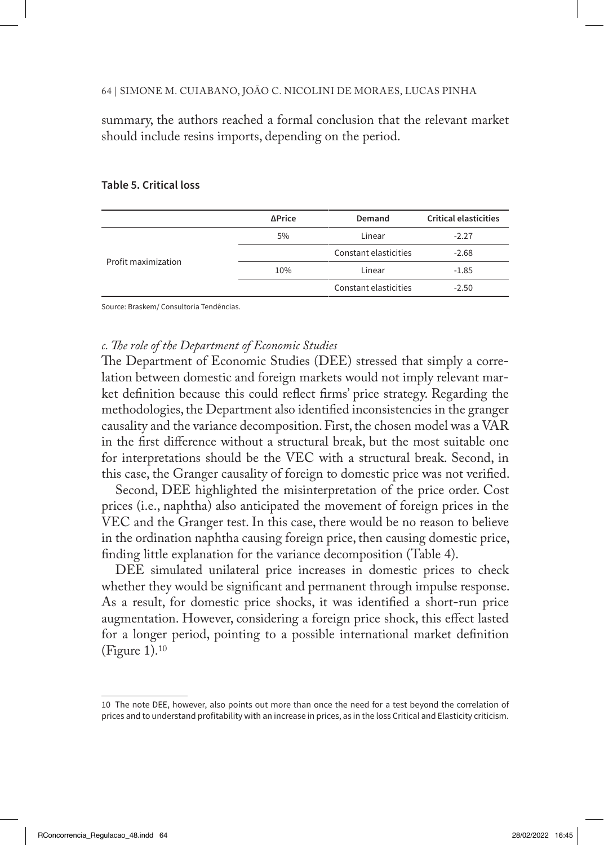summary, the authors reached a formal conclusion that the relevant market should include resins imports, depending on the period.

|                     | ∆Price | Demand                | <b>Critical elasticities</b> |
|---------------------|--------|-----------------------|------------------------------|
| Profit maximization | 5%     | Linear                | $-2.27$                      |
|                     |        | Constant elasticities | $-2.68$                      |
|                     | 10%    | Linear                | $-1.85$                      |
|                     |        | Constant elasticities | $-2.50$                      |

#### **Table 5. Critical loss**

Source: Braskem/ Consultoria Tendências.

### *c. The role of the Department of Economic Studies*

The Department of Economic Studies (DEE) stressed that simply a correlation between domestic and foreign markets would not imply relevant market definition because this could reflect firms' price strategy. Regarding the methodologies, the Department also identified inconsistencies in the granger causality and the variance decomposition. First, the chosen model was a VAR in the first difference without a structural break, but the most suitable one for interpretations should be the VEC with a structural break. Second, in this case, the Granger causality of foreign to domestic price was not verified.

Second, DEE highlighted the misinterpretation of the price order. Cost prices (i.e., naphtha) also anticipated the movement of foreign prices in the VEC and the Granger test. In this case, there would be no reason to believe in the ordination naphtha causing foreign price, then causing domestic price, finding little explanation for the variance decomposition (Table 4).

DEE simulated unilateral price increases in domestic prices to check whether they would be significant and permanent through impulse response. As a result, for domestic price shocks, it was identified a short-run price augmentation. However, considering a foreign price shock, this effect lasted for a longer period, pointing to a possible international market definition (Figure 1).10

<sup>10</sup> The note DEE, however, also points out more than once the need for a test beyond the correlation of prices and to understand profitability with an increase in prices, as in the loss Critical and Elasticity criticism.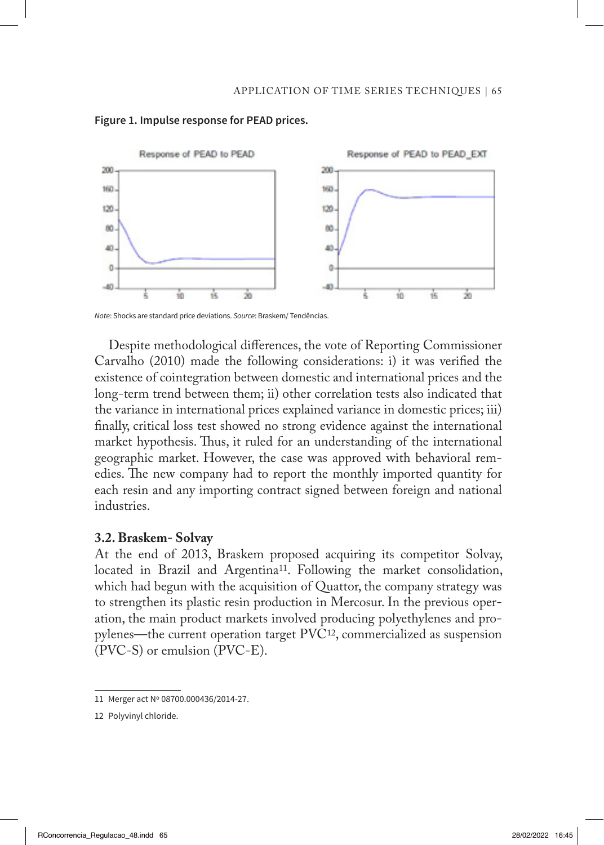

#### **Figure 1. Impulse response for PEAD prices.**

*Note*: Shocks are standard price deviations. Source: Braskem/ Tendências.

Despite methodological differences, the vote of Reporting Commissioner Carvalho (2010) made the following considerations: i) it was verified the existence of cointegration between domestic and international prices and the long-term trend between them; ii) other correlation tests also indicated that the variance in international prices explained variance in domestic prices; iii) finally, critical loss test showed no strong evidence against the international market hypothesis. Thus, it ruled for an understanding of the international geographic market. However, the case was approved with behavioral remedies. The new company had to report the monthly imported quantity for each resin and any importing contract signed between foreign and national industries.

### **3.2. Braskem- Solvay**

At the end of 2013, Braskem proposed acquiring its competitor Solvay, located in Brazil and Argentina<sup>11</sup>. Following the market consolidation, which had begun with the acquisition of Quattor, the company strategy was to strengthen its plastic resin production in Mercosur. In the previous operation, the main product markets involved producing polyethylenes and propylenes—the current operation target PVC12, commercialized as suspension (PVC-S) or emulsion (PVC-E).

<sup>11</sup> Merger act Nº 08700.000436/2014-27.

<sup>12</sup> Polyvinyl chloride.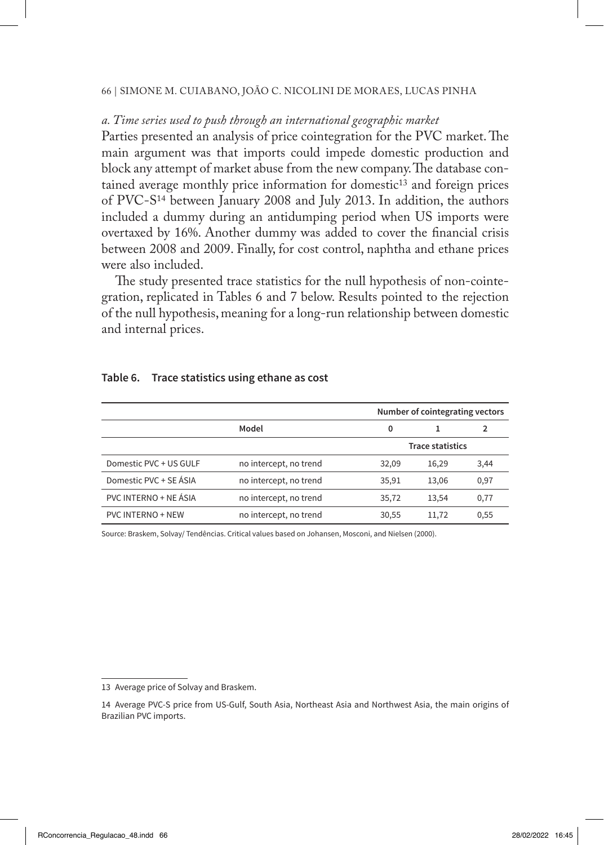# *a. Time series used to push through an international geographic market*

Parties presented an analysis of price cointegration for the PVC market. The main argument was that imports could impede domestic production and block any attempt of market abuse from the new company. The database contained average monthly price information for domestic<sup>13</sup> and foreign prices of PVC-S14 between January 2008 and July 2013. In addition, the authors included a dummy during an antidumping period when US imports were overtaxed by 16%. Another dummy was added to cover the financial crisis between 2008 and 2009. Finally, for cost control, naphtha and ethane prices were also included.

The study presented trace statistics for the null hypothesis of non-cointegration, replicated in Tables 6 and 7 below. Results pointed to the rejection of the null hypothesis, meaning for a long-run relationship between domestic and internal prices.

| Table 6. | Trace statistics using ethane as cost |
|----------|---------------------------------------|
|----------|---------------------------------------|

|                        |                        |       | Number of cointegrating vectors |      |  |
|------------------------|------------------------|-------|---------------------------------|------|--|
|                        | Model                  | 0     |                                 | 2    |  |
|                        |                        |       | <b>Trace statistics</b>         |      |  |
| Domestic PVC + US GULF | no intercept, no trend | 32,09 | 16,29                           | 3,44 |  |
| Domestic PVC + SE ÁSIA | no intercept, no trend | 35,91 | 13,06                           | 0,97 |  |
| PVC INTERNO + NE ÁSIA  | no intercept, no trend | 35.72 | 13,54                           | 0,77 |  |
| PVC INTERNO + NEW      | no intercept, no trend | 30,55 | 11,72                           | 0,55 |  |

Source: Braskem, Solvay/ Tendências. Critical values based on Johansen, Mosconi, and Nielsen (2000).

<sup>13</sup> Average price of Solvay and Braskem.

<sup>14</sup> Average PVC-S price from US-Gulf, South Asia, Northeast Asia and Northwest Asia, the main origins of Brazilian PVC imports.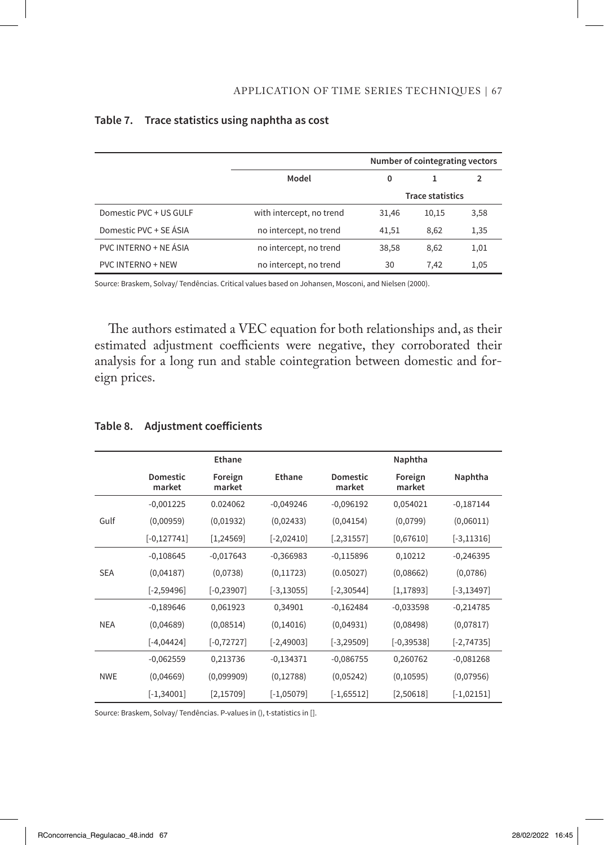|                          |                          | Number of cointegrating vectors |       |                |
|--------------------------|--------------------------|---------------------------------|-------|----------------|
|                          | Model                    | 0                               |       | $\overline{2}$ |
|                          | <b>Trace statistics</b>  |                                 |       |                |
| Domestic PVC + US GULF   | with intercept, no trend | 31,46                           | 10,15 | 3,58           |
| Domestic PVC + SE ÁSIA   | no intercept, no trend   | 41,51                           | 8,62  | 1,35           |
| PVC INTERNO + NE ÁSIA    | no intercept, no trend   | 38,58                           | 8,62  | 1,01           |
| <b>PVC INTERNO + NEW</b> | no intercept, no trend   | 30                              | 7.42  | 1,05           |

### **Table 7. Trace statistics using naphtha as cost**

Source: Braskem, Solvay/ Tendências. Critical values based on Johansen, Mosconi, and Nielsen (2000).

The authors estimated a VEC equation for both relationships and, as their estimated adjustment coefficients were negative, they corroborated their analysis for a long run and stable cointegration between domestic and foreign prices.

|            |                    | Ethane            |               |                           | Naphtha           |               |
|------------|--------------------|-------------------|---------------|---------------------------|-------------------|---------------|
|            | Domestic<br>market | Foreign<br>market | Ethane        | <b>Domestic</b><br>market | Foreign<br>market | Naphtha       |
|            | $-0,001225$        | 0.024062          | $-0,049246$   | $-0,096192$               | 0,054021          | $-0,187144$   |
| Gulf       | (0,00959)          | (0,01932)         | (0,02433)     | (0,04154)                 | (0,0799)          | (0,06011)     |
|            | $[-0, 127741]$     | [1, 24569]        | $[-2,02410]$  | [.2,31557]                | [0,67610]         | $[-3, 11316]$ |
|            | $-0,108645$        | $-0,017643$       | $-0,366983$   | $-0,115896$               | 0,10212           | $-0,246395$   |
| <b>SEA</b> | (0,04187)          | (0,0738)          | (0, 11723)    | (0.05027)                 | (0,08662)         | (0,0786)      |
|            | $[-2,59496]$       | $[-0, 23907]$     | $[-3, 13055]$ | $[-2, 30544]$             | [1, 17893]        | $[-3, 13497]$ |
|            | $-0,189646$        | 0,061923          | 0,34901       | $-0,162484$               | $-0,033598$       | $-0,214785$   |
| <b>NEA</b> | (0,04689)          | (0,08514)         | (0, 14016)    | (0,04931)                 | (0,08498)         | (0,07817)     |
|            | $[-4,04424]$       | $[-0, 72727]$     | $[-2,49003]$  | $[-3, 29509]$             | $[-0, 39538]$     | $[-2, 74735]$ |
|            | $-0,062559$        | 0,213736          | $-0,134371$   | $-0,086755$               | 0,260762          | $-0,081268$   |
| <b>NWE</b> | (0,04669)          | (0,099909)        | (0, 12788)    | (0,05242)                 | (0, 10595)        | (0,07956)     |
|            | $[-1, 34001]$      | [2, 15709]        | $[-1,05079]$  | $[-1,65512]$              | [2,50618]         | $[-1,02151]$  |

### **Table 8. Adjustment coefficients**

Source: Braskem, Solvay/ Tendências. P-values in (), t-statistics in [].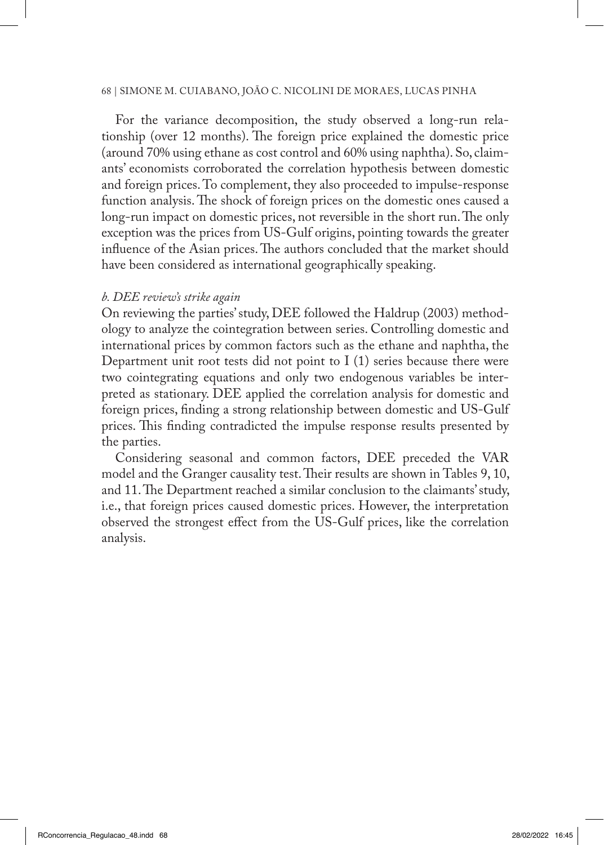For the variance decomposition, the study observed a long-run relationship (over 12 months). The foreign price explained the domestic price (around 70% using ethane as cost control and 60% using naphtha). So, claimants' economists corroborated the correlation hypothesis between domestic and foreign prices. To complement, they also proceeded to impulse-response function analysis. The shock of foreign prices on the domestic ones caused a long-run impact on domestic prices, not reversible in the short run. The only exception was the prices from US-Gulf origins, pointing towards the greater influence of the Asian prices. The authors concluded that the market should have been considered as international geographically speaking.

### *b. DEE review's strike again*

On reviewing the parties' study, DEE followed the Haldrup (2003) methodology to analyze the cointegration between series. Controlling domestic and international prices by common factors such as the ethane and naphtha, the Department unit root tests did not point to  $I(1)$  series because there were two cointegrating equations and only two endogenous variables be interpreted as stationary. DEE applied the correlation analysis for domestic and foreign prices, finding a strong relationship between domestic and US-Gulf prices. This finding contradicted the impulse response results presented by the parties.

Considering seasonal and common factors, DEE preceded the VAR model and the Granger causality test. Their results are shown in Tables 9, 10, and 11. The Department reached a similar conclusion to the claimants' study, i.e., that foreign prices caused domestic prices. However, the interpretation observed the strongest effect from the US-Gulf prices, like the correlation analysis.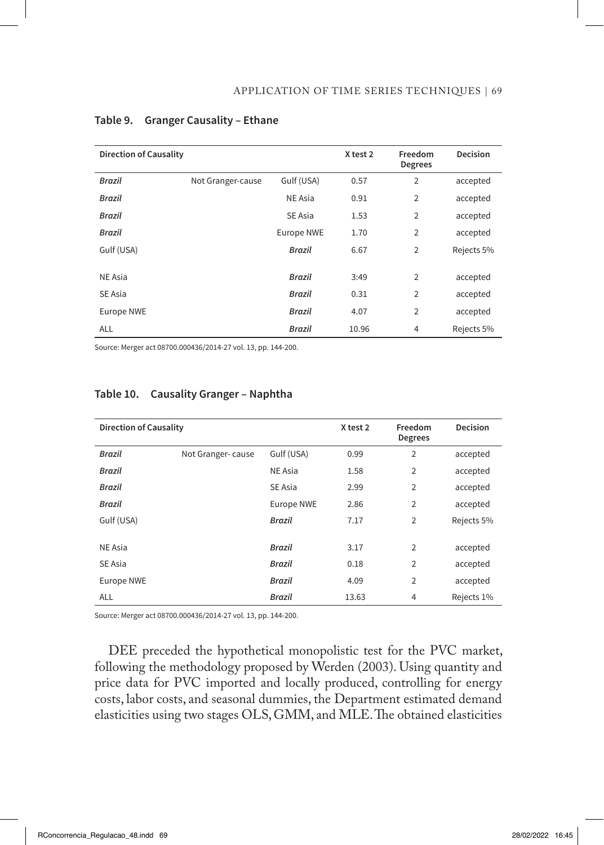| <b>Direction of Causality</b> |                   |                   | X test 2 | Freedom<br><b>Degrees</b> | <b>Decision</b> |
|-------------------------------|-------------------|-------------------|----------|---------------------------|-----------------|
| Brazil                        | Not Granger-cause | Gulf (USA)        | 0.57     | 2                         | accepted        |
| Brazil                        |                   | NE Asia           | 0.91     | $\overline{2}$            | accepted        |
| Brazil                        |                   | SE Asia           | 1.53     | $\overline{2}$            | accepted        |
| Brazil                        |                   | <b>Europe NWE</b> | 1.70     | $\overline{2}$            | accepted        |
| Gulf (USA)                    |                   | Brazil            | 6.67     | $\overline{2}$            | Rejects 5%      |
|                               |                   |                   |          |                           |                 |
| NE Asia                       |                   | Brazil            | 3:49     | $\overline{2}$            | accepted        |
| SE Asia                       |                   | Brazil            | 0.31     | $\overline{2}$            | accepted        |
| <b>Europe NWE</b>             |                   | Brazil            | 4.07     | $\overline{2}$            | accepted        |
| <b>ALL</b>                    |                   | Brazil            | 10.96    | $\overline{4}$            | Rejects 5%      |

#### **Table 9. Granger Causality – Ethane**

Source: Merger act 08700.000436/2014-27 vol. 13, pp. 144-200.

| <b>Direction of Causality</b> |                   |               | X test 2 | Freedom<br><b>Degrees</b> | Decision   |
|-------------------------------|-------------------|---------------|----------|---------------------------|------------|
| Brazil                        | Not Granger-cause | Gulf (USA)    | 0.99     | $\overline{2}$            | accepted   |
| Brazil                        |                   | NE Asia       | 1.58     | $\overline{2}$            | accepted   |
| Brazil                        |                   | SE Asia       | 2.99     | $\overline{2}$            | accepted   |
| Brazil                        |                   | Europe NWE    | 2.86     | $\overline{2}$            | accepted   |
| Gulf (USA)                    |                   | <b>Brazil</b> | 7.17     | $\overline{2}$            | Rejects 5% |
|                               |                   |               |          |                           |            |
| NE Asia                       |                   | <b>Brazil</b> | 3.17     | $\overline{2}$            | accepted   |
| SE Asia                       |                   | Brazil        | 0.18     | $\overline{2}$            | accepted   |
| Europe NWE                    |                   | <b>Brazil</b> | 4.09     | $\overline{2}$            | accepted   |
| <b>ALL</b>                    |                   | Brazil        | 13.63    | $\overline{4}$            | Rejects 1% |

## **Table 10. Causality Granger – Naphtha**

Source: Merger act 08700.000436/2014-27 vol. 13, pp. 144-200.

DEE preceded the hypothetical monopolistic test for the PVC market, following the methodology proposed by Werden (2003). Using quantity and price data for PVC imported and locally produced, controlling for energy costs, labor costs, and seasonal dummies, the Department estimated demand elasticities using two stages OLS, GMM, and MLE. The obtained elasticities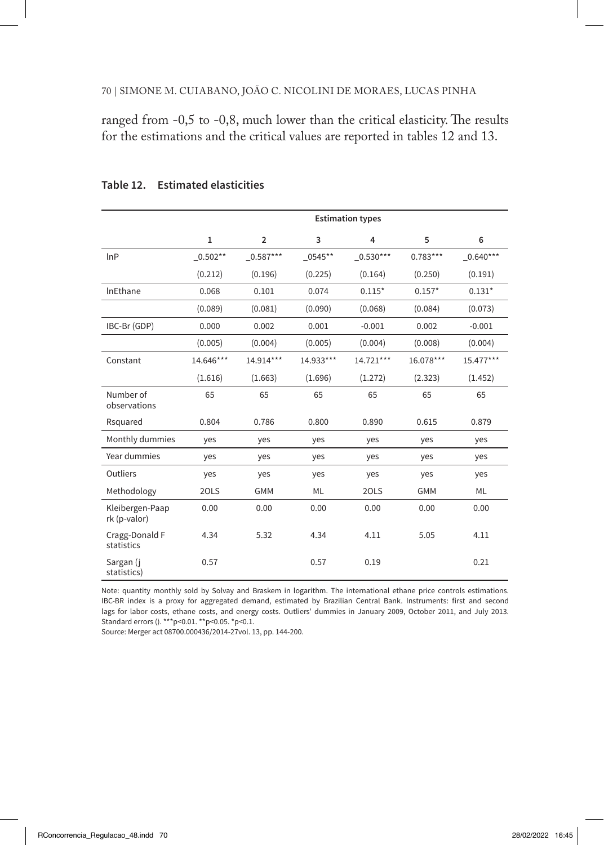ranged from -0,5 to -0,8, much lower than the critical elasticity. The results for the estimations and the critical values are reported in tables 12 and 13.

|                                 | <b>Estimation types</b> |                |           |              |            |              |
|---------------------------------|-------------------------|----------------|-----------|--------------|------------|--------------|
|                                 | $\mathbf{1}$            | $\overline{2}$ | 3         | 4            | 5          | 6            |
| lnP                             | $0.502**$               | $\_0.587***$   | 0545**    | $\_0.530***$ | $0.783***$ | $\_0.640***$ |
|                                 | (0.212)                 | (0.196)        | (0.225)   | (0.164)      | (0.250)    | (0.191)      |
| InEthane                        | 0.068                   | 0.101          | 0.074     | $0.115*$     | $0.157*$   | $0.131*$     |
|                                 | (0.089)                 | (0.081)        | (0.090)   | (0.068)      | (0.084)    | (0.073)      |
| IBC-Br (GDP)                    | 0.000                   | 0.002          | 0.001     | $-0.001$     | 0.002      | $-0.001$     |
|                                 | (0.005)                 | (0.004)        | (0.005)   | (0.004)      | (0.008)    | (0.004)      |
| Constant                        | 14.646***               | 14.914***      | 14.933*** | 14.721***    | 16.078***  | 15.477***    |
|                                 | (1.616)                 | (1.663)        | (1.696)   | (1.272)      | (2.323)    | (1.452)      |
| Number of<br>observations       | 65                      | 65             | 65        | 65           | 65         | 65           |
| Rsquared                        | 0.804                   | 0.786          | 0.800     | 0.890        | 0.615      | 0.879        |
| Monthly dummies                 | ves                     | yes            | yes       | yes          | yes        | yes          |
| Year dummies                    | yes                     | yes            | yes       | yes          | yes        | yes          |
| Outliers                        | yes                     | yes            | yes       | yes          | yes        | yes          |
| Methodology                     | 20LS                    | <b>GMM</b>     | ML        | 20LS         | <b>GMM</b> | ML           |
| Kleibergen-Paap<br>rk (p-valor) | 0.00                    | 0.00           | 0.00      | 0.00         | 0.00       | 0.00         |
| Cragg-Donald F<br>statistics    | 4.34                    | 5.32           | 4.34      | 4.11         | 5.05       | 4.11         |
| Sargan (j<br>statistics)        | 0.57                    |                | 0.57      | 0.19         |            | 0.21         |

**Table 12. Estimated elasticities**

Note: quantity monthly sold by Solvay and Braskem in logarithm. The international ethane price controls estimations. IBC-BR index is a proxy for aggregated demand, estimated by Brazilian Central Bank. Instruments: first and second lags for labor costs, ethane costs, and energy costs. Outliers' dummies in January 2009, October 2011, and July 2013. Standard errors (). \*\*\* p<0.01. \*\* p<0.05. \* p<0.1.

Source: Merger act 08700.000436/2014-27vol. 13, pp. 144-200.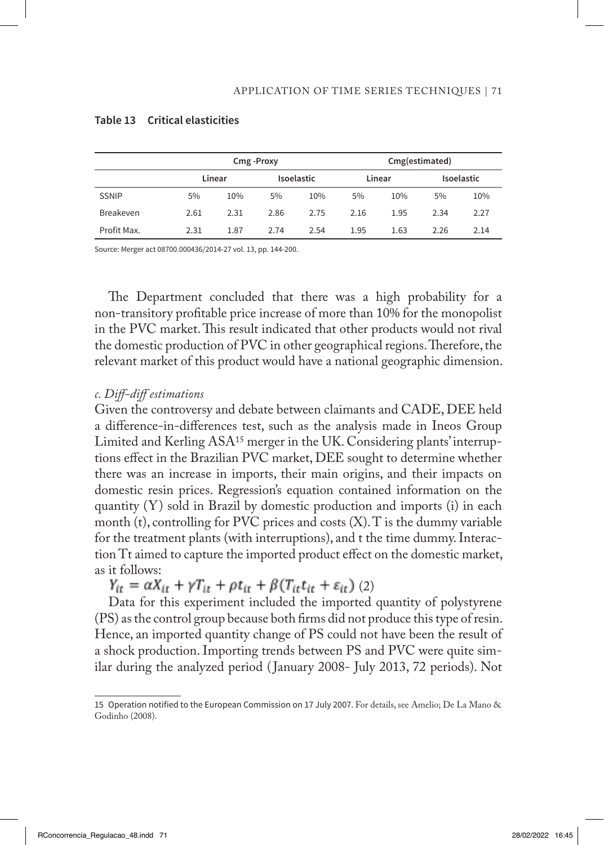|              |      | Cmg-Proxy |            |      |        | Cmg(estimated) |            |      |  |
|--------------|------|-----------|------------|------|--------|----------------|------------|------|--|
|              |      | Linear    | Isoelastic |      | Linear |                | Isoelastic |      |  |
| <b>SSNIP</b> | 5%   | 10%       | 5%         | 10%  | 5%     | 10%            | 5%         | 10%  |  |
| Breakeven    | 2.61 | 2.31      | 2.86       | 2.75 | 2.16   | 1.95           | 2.34       | 2.27 |  |
| Profit Max.  | 2.31 | 1.87      | 2.74       | 2.54 | 1.95   | 1.63           | 2.26       | 2.14 |  |

#### **Table 13 Critical elasticities**

Source: Merger act 08700.000436/2014-27 vol. 13, pp. 144-200.

The Department concluded that there was a high probability for a non-transitory profitable price increase of more than 10% for the monopolist in the PVC market. This result indicated that other products would not rival the domestic production of PVC in other geographical regions. Therefore, the relevant market of this product would have a national geographic dimension.

### *c. Diff-diff estimations*

Given the controversy and debate between claimants and CADE, DEE held a difference-in-differences test, such as the analysis made in Ineos Group Limited and Kerling ASA15 merger in the UK. Considering plants' interruptions effect in the Brazilian PVC market, DEE sought to determine whether there was an increase in imports, their main origins, and their impacts on domestic resin prices. Regression's equation contained information on the quantity (Y) sold in Brazil by domestic production and imports (i) in each month (t), controlling for PVC prices and costs  $(X)$ . T is the dummy variable for the treatment plants (with interruptions), and t the time dummy. Interaction Tt aimed to capture the imported product effect on the domestic market, as it follows:

 $Y_{it} = \alpha X_{it} + \gamma T_{it} + \rho t_{it} + \beta (T_{it} t_{it} + \varepsilon_{it})$  (2)

Data for this experiment included the imported quantity of polystyrene (PS) as the control group because both firms did not produce this type of resin. Hence, an imported quantity change of PS could not have been the result of a shock production. Importing trends between PS and PVC were quite similar during the analyzed period ( January 2008- July 2013, 72 periods). Not

<sup>15</sup> Operation notified to the European Commission on 17 July 2007. For details, see Amelio; De La Mano & Godinho (2008).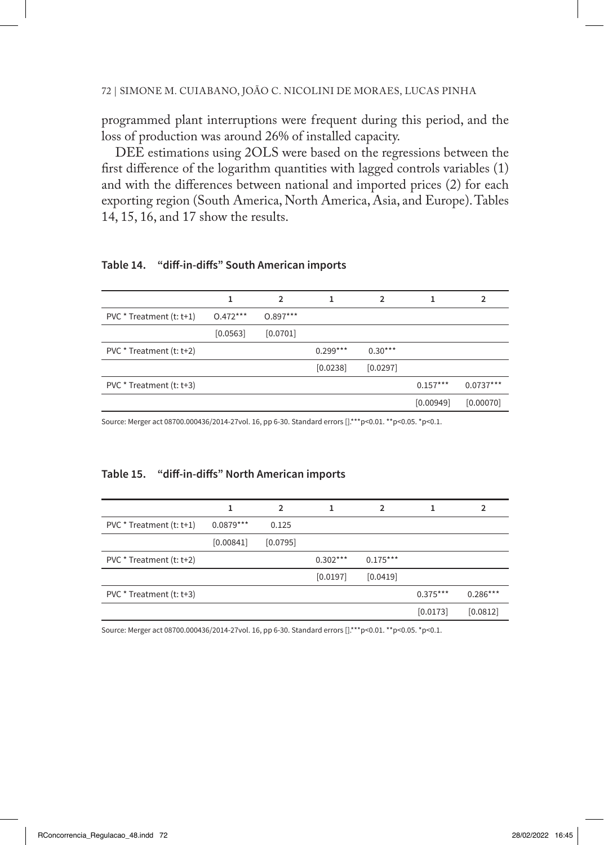programmed plant interruptions were frequent during this period, and the loss of production was around 26% of installed capacity.

DEE estimations using 2OLS were based on the regressions between the first difference of the logarithm quantities with lagged controls variables (1) and with the differences between national and imported prices (2) for each exporting region (South America, North America, Asia, and Europe). Tables 14, 15, 16, and 17 show the results.

#### **Table 14. "diff-in-diffs" South American imports**

|                          |            | 2          |            | っ         |            |             |
|--------------------------|------------|------------|------------|-----------|------------|-------------|
| PVC * Treatment (t: t+1) | $0.472***$ | $0.897***$ |            |           |            |             |
|                          | [0.0563]   | [0.0701]   |            |           |            |             |
| PVC * Treatment (t: t+2) |            |            | $0.299***$ | $0.30***$ |            |             |
|                          |            |            | [0.0238]   | [0.0297]  |            |             |
| PVC * Treatment (t: t+3) |            |            |            |           | $0.157***$ | $0.0737***$ |
|                          |            |            |            |           | [0.00949]  | [0.00070]   |

Source: Merger act 08700.000436/2014-27vol. 16, pp 6-30. Standard errors [].\*\*\*p<0.01. \*\*p<0.05. \*p<0.1.

#### **Table 15. "diff-in-diffs" North American imports**

|                          |             | $\mathcal{P}$ |            | $\mathfrak{p}$ |            | 2          |
|--------------------------|-------------|---------------|------------|----------------|------------|------------|
| PVC * Treatment (t: t+1) | $0.0879***$ | 0.125         |            |                |            |            |
|                          | [0.00841]   | [0.0795]      |            |                |            |            |
| PVC * Treatment (t: t+2) |             |               | $0.302***$ | $0.175***$     |            |            |
|                          |             |               | [0.0197]   | [0.0419]       |            |            |
| PVC * Treatment (t: t+3) |             |               |            |                | $0.375***$ | $0.286***$ |
|                          |             |               |            |                | [0.0173]   | [0.0812]   |

Source: Merger act 08700.000436/2014-27vol. 16, pp 6-30. Standard errors [].\*\*\*p<0.01. \*\*p<0.05. \*p<0.1.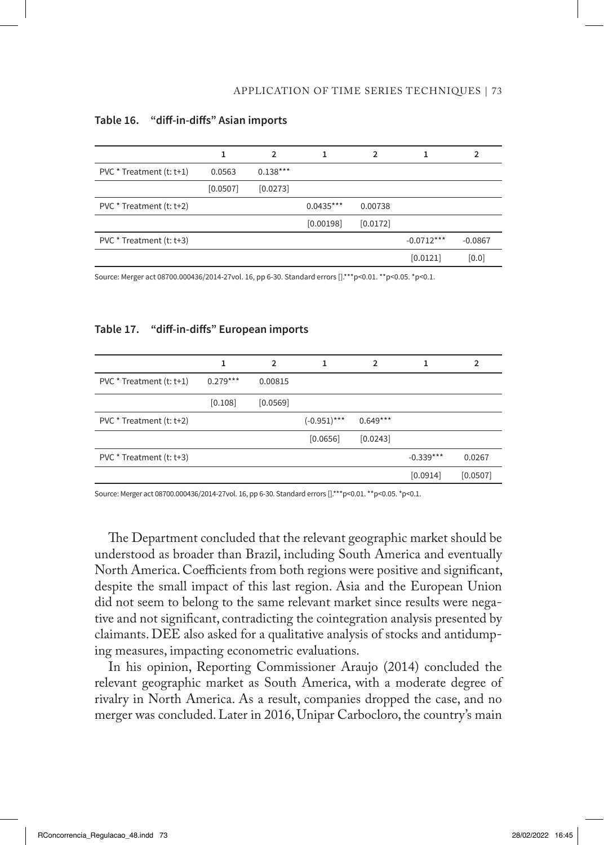|                          |          | $\mathcal{P}$ |             | 2        |              | 2         |
|--------------------------|----------|---------------|-------------|----------|--------------|-----------|
| $PVC * Treatment(t:t+1)$ | 0.0563   | $0.138***$    |             |          |              |           |
|                          | [0.0507] | [0.0273]      |             |          |              |           |
| PVC * Treatment (t: t+2) |          |               | $0.0435***$ | 0.00738  |              |           |
|                          |          |               | [0.00198]   | [0.0172] |              |           |
| PVC * Treatment (t: t+3) |          |               |             |          | $-0.0712***$ | $-0.0867$ |
|                          |          |               |             |          | [0.0121]     | [0.0]     |

#### **Table 16. "diff-in-diffs" Asian imports**

Source: Merger act 08700.000436/2014-27vol. 16, pp 6-30. Standard errors [].\*\*\*p<0.01. \*\*p<0.05. \*p<0.1.

### **Table 17. "diff-in-diffs" European imports**

|                          |            | $\mathcal{P}$ |                | 2          |             | 2        |
|--------------------------|------------|---------------|----------------|------------|-------------|----------|
| PVC * Treatment (t: t+1) | $0.279***$ | 0.00815       |                |            |             |          |
|                          | [0.108]    | [0.0569]      |                |            |             |          |
| PVC * Treatment (t: t+2) |            |               | $(-0.951)$ *** | $0.649***$ |             |          |
|                          |            |               | [0.0656]       | [0.0243]   |             |          |
| PVC * Treatment (t: t+3) |            |               |                |            | $-0.339***$ | 0.0267   |
|                          |            |               |                |            | [0.0914]    | [0.0507] |

Source: Merger act 08700.000436/2014-27vol. 16, pp 6-30. Standard errors [].\*\*\*p<0.01. \*\*p<0.05. \*p<0.1.

The Department concluded that the relevant geographic market should be understood as broader than Brazil, including South America and eventually North America. Coefficients from both regions were positive and significant, despite the small impact of this last region. Asia and the European Union did not seem to belong to the same relevant market since results were negative and not significant, contradicting the cointegration analysis presented by claimants. DEE also asked for a qualitative analysis of stocks and antidumping measures, impacting econometric evaluations.

In his opinion, Reporting Commissioner Araujo (2014) concluded the relevant geographic market as South America, with a moderate degree of rivalry in North America. As a result, companies dropped the case, and no merger was concluded. Later in 2016, Unipar Carbocloro, the country's main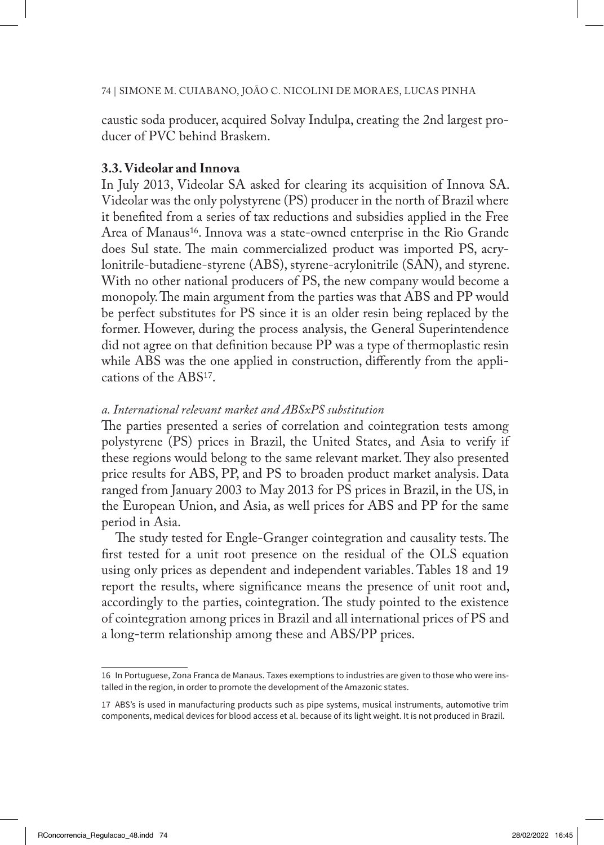caustic soda producer, acquired Solvay Indulpa, creating the 2nd largest producer of PVC behind Braskem.

### **3.3. Videolar and Innova**

In July 2013, Videolar SA asked for clearing its acquisition of Innova SA. Videolar was the only polystyrene (PS) producer in the north of Brazil where it benefited from a series of tax reductions and subsidies applied in the Free Area of Manaus<sup>16</sup>. Innova was a state-owned enterprise in the Rio Grande does Sul state. The main commercialized product was imported PS, acrylonitrile-butadiene-styrene (ABS), styrene-acrylonitrile (SAN), and styrene. With no other national producers of PS, the new company would become a monopoly. The main argument from the parties was that ABS and PP would be perfect substitutes for PS since it is an older resin being replaced by the former. However, during the process analysis, the General Superintendence did not agree on that definition because PP was a type of thermoplastic resin while ABS was the one applied in construction, differently from the applications of the ABS17.

# *a. International relevant market and ABSxPS substitution*

The parties presented a series of correlation and cointegration tests among polystyrene (PS) prices in Brazil, the United States, and Asia to verify if these regions would belong to the same relevant market. They also presented price results for ABS, PP, and PS to broaden product market analysis. Data ranged from January 2003 to May 2013 for PS prices in Brazil, in the US, in the European Union, and Asia, as well prices for ABS and PP for the same period in Asia.

The study tested for Engle-Granger cointegration and causality tests. The first tested for a unit root presence on the residual of the OLS equation using only prices as dependent and independent variables. Tables 18 and 19 report the results, where significance means the presence of unit root and, accordingly to the parties, cointegration. The study pointed to the existence of cointegration among prices in Brazil and all international prices of PS and a long-term relationship among these and ABS/PP prices.

<sup>16</sup> In Portuguese, Zona Franca de Manaus. Taxes exemptions to industries are given to those who were installed in the region, in order to promote the development of the Amazonic states.

<sup>17</sup> ABS's is used in manufacturing products such as pipe systems, musical instruments, automotive trim components, medical devices for blood access et al. because of its light weight. It is not produced in Brazil.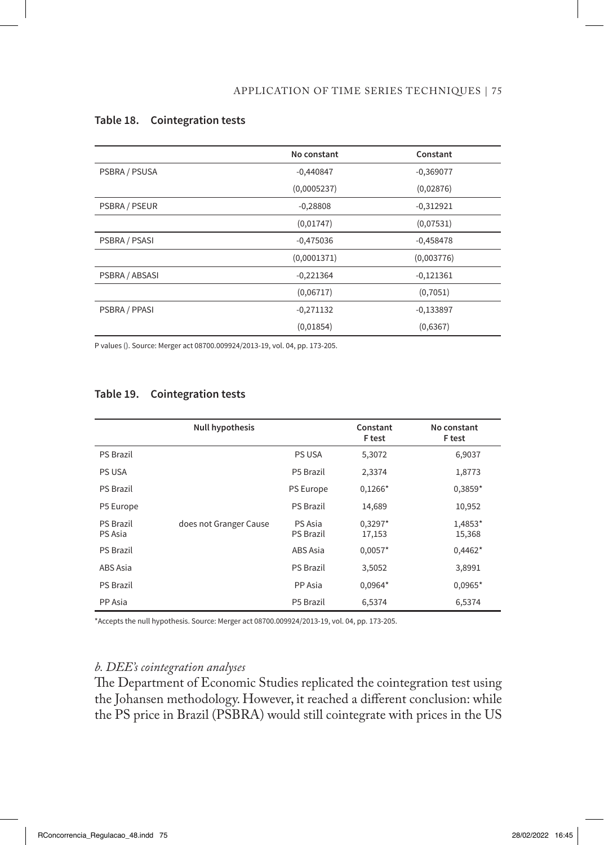|                | No constant | Constant    |
|----------------|-------------|-------------|
| PSBRA / PSUSA  | $-0,440847$ | $-0,369077$ |
|                | (0,0005237) | (0,02876)   |
| PSBRA / PSEUR  | $-0,28808$  | $-0,312921$ |
|                | (0,01747)   | (0,07531)   |
| PSBRA / PSASI  | $-0,475036$ | $-0,458478$ |
|                | (0,0001371) | (0,003776)  |
| PSBRA / ABSASI | $-0,221364$ | $-0,121361$ |
|                | (0,06717)   | (0,7051)    |
| PSBRA / PPASI  | $-0,271132$ | $-0,133897$ |
|                | (0,01854)   | (0,6367)    |

### **Table 18. Cointegration tests**

P values (). Source: Merger act 08700.009924/2013-19, vol. 04, pp. 173-205.

|                             | <b>Null hypothesis</b> |                             | Constant<br>F test  | No constant<br>F test |
|-----------------------------|------------------------|-----------------------------|---------------------|-----------------------|
| <b>PS Brazil</b>            |                        | <b>PS USA</b>               | 5,3072              | 6,9037                |
| <b>PS USA</b>               |                        | P5 Brazil                   | 2,3374              | 1,8773                |
| <b>PS Brazil</b>            |                        | <b>PS Europe</b>            | $0,1266*$           | $0,3859*$             |
| P5 Europe                   |                        | <b>PS Brazil</b>            | 14,689              | 10,952                |
| <b>PS Brazil</b><br>PS Asia | does not Granger Cause | PS Asia<br><b>PS Brazil</b> | $0,3297*$<br>17,153 | 1,4853*<br>15,368     |
| <b>PS Brazil</b>            |                        | ABS Asia                    | $0,0057*$           | $0,4462*$             |
| ABS Asia                    |                        | <b>PS Brazil</b>            | 3,5052              | 3,8991                |
| <b>PS Brazil</b>            |                        | PP Asia                     | $0,0964*$           | $0,0965*$             |
| PP Asia                     |                        | P5 Brazil                   | 6,5374              | 6,5374                |

### **Table 19. Cointegration tests**

\*Accepts the null hypothesis. Source: Merger act 08700.009924/2013-19, vol. 04, pp. 173-205.

# *b. DEE's cointegration analyses*

The Department of Economic Studies replicated the cointegration test using the Johansen methodology. However, it reached a different conclusion: while the PS price in Brazil (PSBRA) would still cointegrate with prices in the US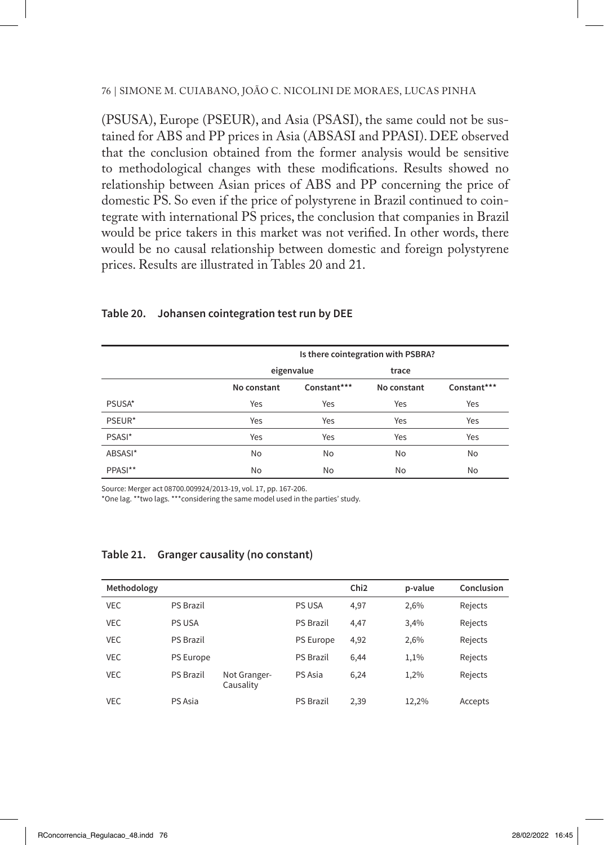(PSUSA), Europe (PSEUR), and Asia (PSASI), the same could not be sustained for ABS and PP prices in Asia (ABSASI and PPASI). DEE observed that the conclusion obtained from the former analysis would be sensitive to methodological changes with these modifications. Results showed no relationship between Asian prices of ABS and PP concerning the price of domestic PS. So even if the price of polystyrene in Brazil continued to cointegrate with international PS prices, the conclusion that companies in Brazil would be price takers in this market was not verified. In other words, there would be no causal relationship between domestic and foreign polystyrene prices. Results are illustrated in Tables 20 and 21.

|         | Is there cointegration with PSBRA? |             |             |             |  |  |
|---------|------------------------------------|-------------|-------------|-------------|--|--|
|         |                                    | eigenvalue  | trace       |             |  |  |
|         | No constant                        | Constant*** | No constant | Constant*** |  |  |
| PSUSA*  | Yes                                | Yes         | Yes         | Yes         |  |  |
| PSEUR*  | Yes                                | Yes         | Yes         | Yes         |  |  |
| PSASI*  | Yes                                | Yes         | Yes         | Yes         |  |  |
| ABSASI* | <b>No</b>                          | No          | No          | No          |  |  |
| PPASI** | No                                 | No          | No          | No          |  |  |

#### **Table 20. Johansen cointegration test run by DEE**

Source: Merger act 08700.009924/2013-19, vol. 17, pp. 167-206.

\*One lag. \*\*two lags. \*\*\*considering the same model used in the parties' study.

| Methodology |                  |                           |                  | Chi <sub>2</sub> | p-value | Conclusion |
|-------------|------------------|---------------------------|------------------|------------------|---------|------------|
| <b>VEC</b>  | <b>PS Brazil</b> |                           | <b>PS USA</b>    | 4,97             | 2,6%    | Rejects    |
| <b>VEC</b>  | PS USA           |                           | <b>PS Brazil</b> | 4.47             | 3,4%    | Rejects    |
| <b>VEC</b>  | <b>PS Brazil</b> |                           | PS Europe        | 4,92             | 2,6%    | Rejects    |
| <b>VEC</b>  | <b>PS Europe</b> |                           | <b>PS Brazil</b> | 6.44             | 1,1%    | Rejects    |
| <b>VEC</b>  | <b>PS Brazil</b> | Not Granger-<br>Causality | PS Asia          | 6,24             | 1.2%    | Rejects    |
| VEC.        | PS Asia          |                           | <b>PS Brazil</b> | 2,39             | 12,2%   | Accepts    |

#### **Table 21. Granger causality (no constant)**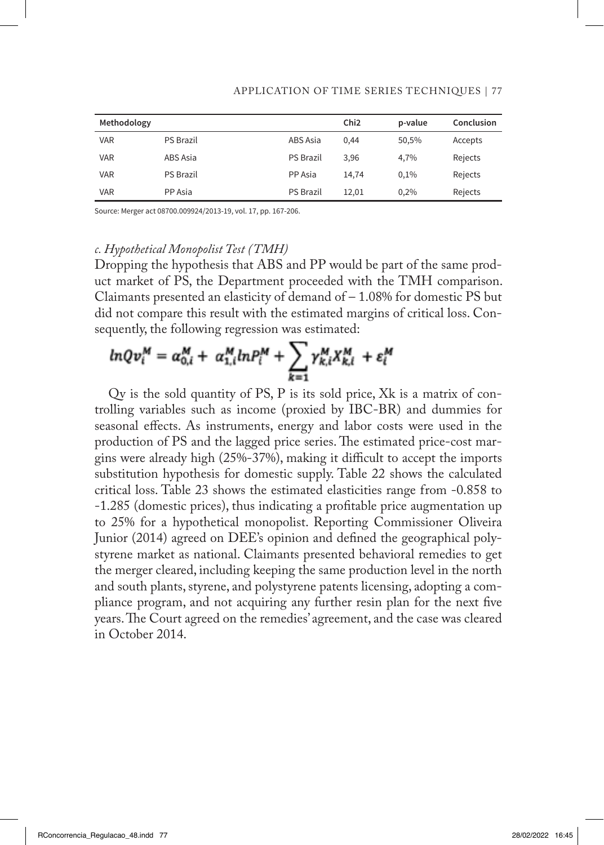| Methodology |                  |                  | Chi <sub>2</sub> | p-value | Conclusion |
|-------------|------------------|------------------|------------------|---------|------------|
| <b>VAR</b>  | <b>PS Brazil</b> | ABS Asia         | 0.44             | 50,5%   | Accepts    |
| <b>VAR</b>  | ABS Asia         | <b>PS Brazil</b> | 3,96             | 4.7%    | Rejects    |
| <b>VAR</b>  | <b>PS Brazil</b> | PP Asia          | 14.74            | 0.1%    | Rejects    |
| <b>VAR</b>  | PP Asia          | <b>PS Brazil</b> | 12,01            | 0,2%    | Rejects    |

#### APPLICATION OF TIME SERIES TECHNIQUES | 77

Source: Merger act 08700.009924/2013-19, vol. 17, pp. 167-206.

### *c. Hypothetical Monopolist Test (TMH)*

Dropping the hypothesis that ABS and PP would be part of the same product market of PS, the Department proceeded with the TMH comparison. Claimants presented an elasticity of demand of – 1.08% for domestic PS but did not compare this result with the estimated margins of critical loss. Consequently, the following regression was estimated:

$$
ln Qv_i^M = \alpha_{0,i}^M + \alpha_{1,i}^M ln P_i^M + \sum_{k=1}^N \gamma_{k,i}^M X_{k,i}^M + \varepsilon_i^M
$$

Qv is the sold quantity of PS, P is its sold price, Xk is a matrix of controlling variables such as income (proxied by IBC-BR) and dummies for seasonal effects. As instruments, energy and labor costs were used in the production of PS and the lagged price series. The estimated price-cost margins were already high (25%-37%), making it difficult to accept the imports substitution hypothesis for domestic supply. Table 22 shows the calculated critical loss. Table 23 shows the estimated elasticities range from -0.858 to -1.285 (domestic prices), thus indicating a profitable price augmentation up to 25% for a hypothetical monopolist. Reporting Commissioner Oliveira Junior (2014) agreed on DEE's opinion and defined the geographical polystyrene market as national. Claimants presented behavioral remedies to get the merger cleared, including keeping the same production level in the north and south plants, styrene, and polystyrene patents licensing, adopting a compliance program, and not acquiring any further resin plan for the next five years. The Court agreed on the remedies' agreement, and the case was cleared in October 2014.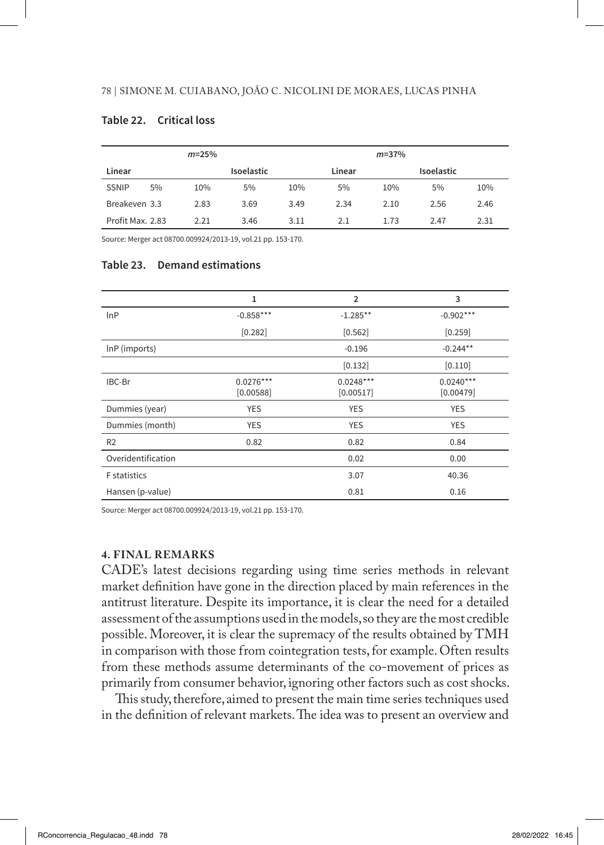### **Table 22. Critical loss**

|                  |    | $m = 25%$ |                   |      |        | $m = 37%$ |                   |      |
|------------------|----|-----------|-------------------|------|--------|-----------|-------------------|------|
| Linear           |    |           | <b>Isoelastic</b> |      | Linear |           | <b>Isoelastic</b> |      |
| <b>SSNIP</b>     | 5% | 10%       | 5%                | 10%  | 5%     | 10%       | 5%                | 10%  |
| Breakeven 3.3    |    | 2.83      | 3.69              | 3.49 | 2.34   | 2.10      | 2.56              | 2.46 |
| Profit Max. 2.83 |    | 2.21      | 3.46              | 3.11 | 2.1    | 1.73      | 2.47              | 2.31 |

Source: Merger act 08700.009924/2013-19, vol.21 pp. 153-170.

### **Table 23. Demand estimations**

|                     | 1                        | $\overline{2}$           | 3                        |
|---------------------|--------------------------|--------------------------|--------------------------|
| lnP                 | $-0.858***$              | $-1.285**$               | $-0.902***$              |
|                     | [0.282]                  | [0.562]                  | [0.259]                  |
| InP (imports)       |                          | $-0.196$                 | $-0.244**$               |
|                     |                          | [0.132]                  | [0.110]                  |
| IBC-Br              | $0.0276***$<br>[0.00588] | $0.0248***$<br>[0.00517] | $0.0240***$<br>[0.00479] |
| Dummies (year)      | <b>YES</b>               | <b>YES</b>               | <b>YES</b>               |
| Dummies (month)     | <b>YES</b>               | <b>YES</b>               | <b>YES</b>               |
| R <sub>2</sub>      | 0.82                     | 0.82                     | 0.84                     |
| Overidentification  |                          | 0.02                     | 0.00                     |
| <b>F</b> statistics |                          | 3.07                     | 40.36                    |
| Hansen (p-value)    |                          | 0.81                     | 0.16                     |

Source: Merger act 08700.009924/2013-19, vol.21 pp. 153-170.

### **4. FINAL REMARKS**

CADE's latest decisions regarding using time series methods in relevant market definition have gone in the direction placed by main references in the antitrust literature. Despite its importance, it is clear the need for a detailed assessment of the assumptions used in the models, so they are the most credible possible. Moreover, it is clear the supremacy of the results obtained by TMH in comparison with those from cointegration tests, for example. Often results from these methods assume determinants of the co-movement of prices as primarily from consumer behavior, ignoring other factors such as cost shocks.

This study, therefore, aimed to present the main time series techniques used in the definition of relevant markets. The idea was to present an overview and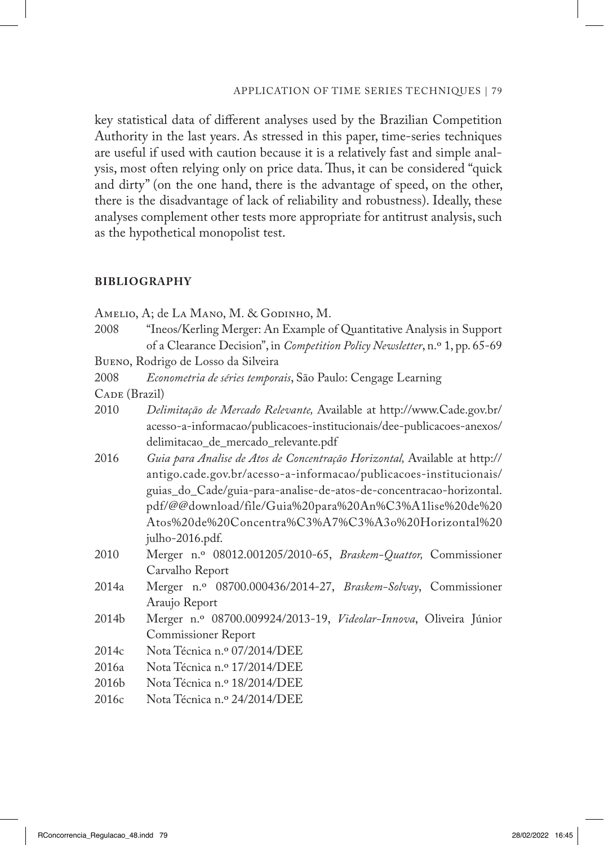key statistical data of different analyses used by the Brazilian Competition Authority in the last years. As stressed in this paper, time-series techniques are useful if used with caution because it is a relatively fast and simple analysis, most often relying only on price data. Thus, it can be considered "quick and dirty" (on the one hand, there is the advantage of speed, on the other, there is the disadvantage of lack of reliability and robustness). Ideally, these analyses complement other tests more appropriate for antitrust analysis, such as the hypothetical monopolist test.

#### **BIBLIOGRAPHY**

| Amelio, A; de La Mano, M. & Godinho, M. |                                                                              |
|-----------------------------------------|------------------------------------------------------------------------------|
| 2008                                    | "Ineos/Kerling Merger: An Example of Quantitative Analysis in Support        |
|                                         | of a Clearance Decision", in Competition Policy Newsletter, n.º 1, pp. 65-69 |
| BUENO, Rodrigo de Losso da Silveira     |                                                                              |
| 2008                                    | Econometria de séries temporais, São Paulo: Cengage Learning                 |
| CADE (Brazil)                           |                                                                              |
| 2010                                    | Delimitação de Mercado Relevante, Available at http://www.Cade.gov.br/       |
|                                         | acesso-a-informacao/publicacoes-institucionais/dee-publicacoes-anexos/       |
|                                         | delimitacao_de_mercado_relevante.pdf                                         |
| 2016                                    | Guia para Analise de Atos de Concentração Horizontal, Available at http://   |
|                                         | antigo.cade.gov.br/acesso-a-informacao/publicacoes-institucionais/           |
|                                         | guias_do_Cade/guia-para-analise-de-atos-de-concentracao-horizontal.          |
|                                         | pdf/@@download/file/Guia%20para%20An%C3%A1lise%20de%20                       |
|                                         | Atos%20de%20Concentra%C3%A7%C3%A3o%20Horizontal%20                           |
|                                         | julho-2016.pdf.                                                              |
| 2010                                    | Merger n.º 08012.001205/2010-65, Braskem-Quattor, Commissioner               |
|                                         | Carvalho Report                                                              |
| 2014a                                   | Merger n.º 08700.000436/2014-27, Braskem-Solvay, Commissioner                |
|                                         | Araujo Report                                                                |
| 2014b                                   | Merger n.º 08700.009924/2013-19, Videolar-Innova, Oliveira Júnior            |
|                                         | <b>Commissioner Report</b>                                                   |
| 2014c                                   | Nota Técnica n.º 07/2014/DEE                                                 |
| 2016a                                   | Nota Técnica n.º 17/2014/DEE                                                 |
| 2016 <sub>b</sub>                       | Nota Técnica n.º 18/2014/DEE                                                 |
| 2016c                                   | Nota Técnica n.º 24/2014/DEE                                                 |